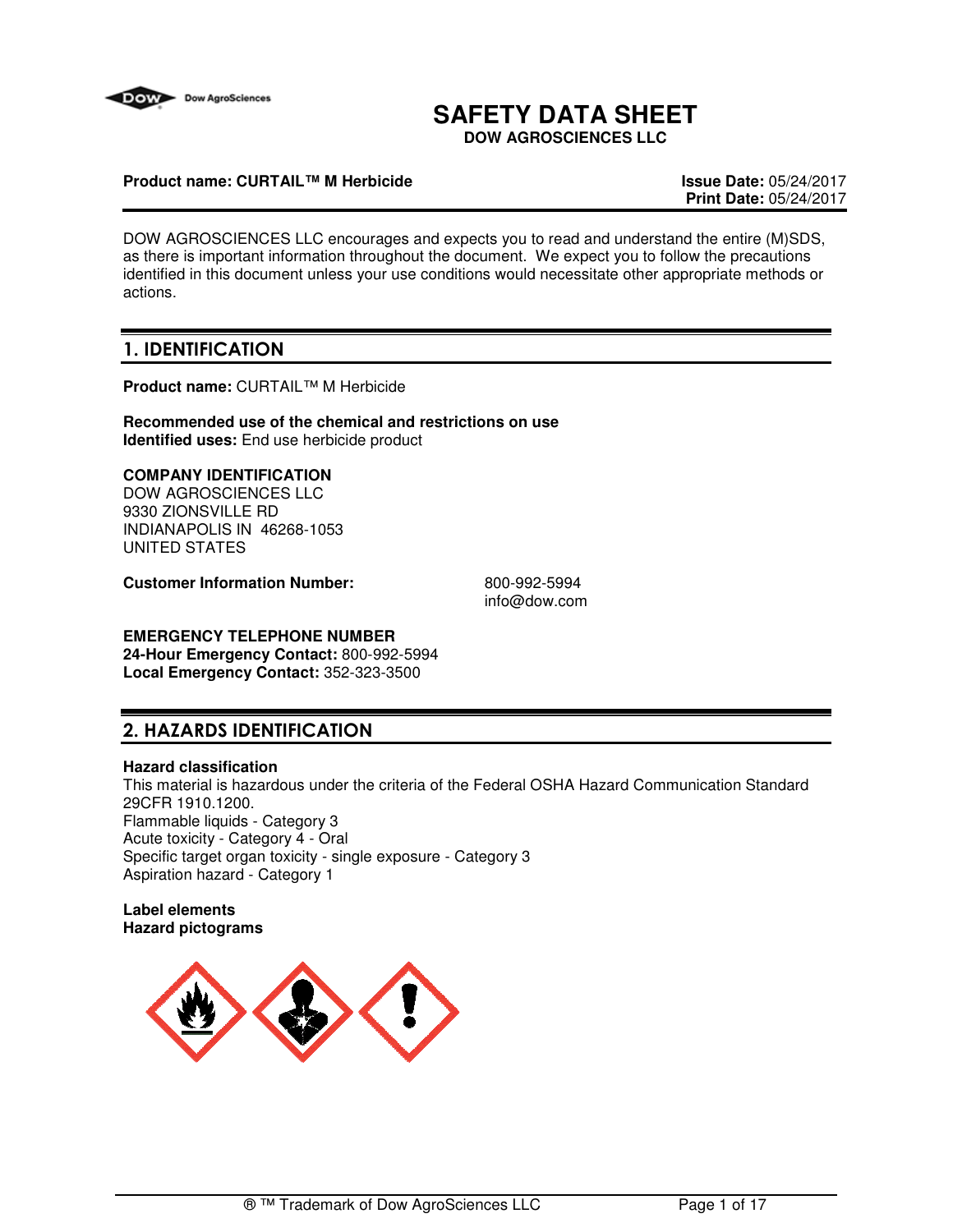

# **SAFETY DATA SHEET**

**DOW AGROSCIENCES LLC**

## **Product name: CURTAIL™ M Herbicide Issue Date:** 05/24/2017

**Print Date:** 05/24/2017

DOW AGROSCIENCES LLC encourages and expects you to read and understand the entire (M)SDS, as there is important information throughout the document. We expect you to follow the precautions identified in this document unless your use conditions would necessitate other appropriate methods or actions.

# **1. IDENTIFICATION**

**Product name:** CURTAIL™ M Herbicide

**Recommended use of the chemical and restrictions on use Identified uses:** End use herbicide product

# **COMPANY IDENTIFICATION**

DOW AGROSCIENCES LLC 9330 ZIONSVILLE RD INDIANAPOLIS IN 46268-1053 UNITED STATES

**Customer Information Number:** 800-992-5994

info@dow.com

# **EMERGENCY TELEPHONE NUMBER**

**24-Hour Emergency Contact:** 800-992-5994 **Local Emergency Contact:** 352-323-3500

# **2. HAZARDS IDENTIFICATION**

#### **Hazard classification**

This material is hazardous under the criteria of the Federal OSHA Hazard Communication Standard 29CFR 1910.1200. Flammable liquids - Category 3 Acute toxicity - Category 4 - Oral Specific target organ toxicity - single exposure - Category 3 Aspiration hazard - Category 1

#### **Label elements Hazard pictograms**

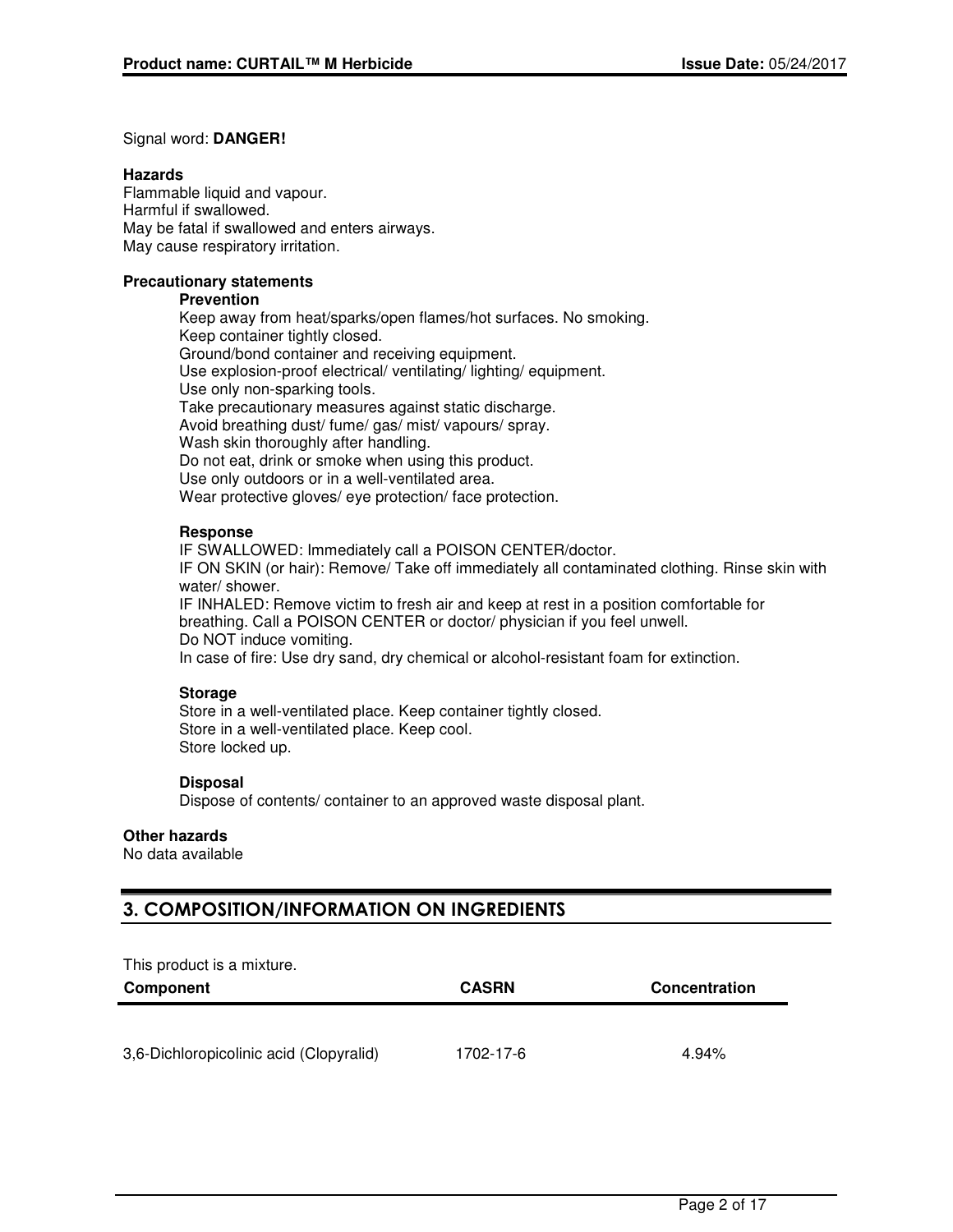#### Signal word: **DANGER!**

#### **Hazards**

Flammable liquid and vapour. Harmful if swallowed. May be fatal if swallowed and enters airways. May cause respiratory irritation.

# **Precautionary statements**

#### **Prevention**

Keep away from heat/sparks/open flames/hot surfaces. No smoking. Keep container tightly closed. Ground/bond container and receiving equipment. Use explosion-proof electrical/ ventilating/ lighting/ equipment. Use only non-sparking tools. Take precautionary measures against static discharge. Avoid breathing dust/ fume/ gas/ mist/ vapours/ spray. Wash skin thoroughly after handling. Do not eat, drink or smoke when using this product. Use only outdoors or in a well-ventilated area. Wear protective gloves/ eye protection/ face protection.

## **Response**

IF SWALLOWED: Immediately call a POISON CENTER/doctor. IF ON SKIN (or hair): Remove/ Take off immediately all contaminated clothing. Rinse skin with water/ shower. IF INHALED: Remove victim to fresh air and keep at rest in a position comfortable for breathing. Call a POISON CENTER or doctor/ physician if you feel unwell. Do NOT induce vomiting.

In case of fire: Use dry sand, dry chemical or alcohol-resistant foam for extinction.

#### **Storage**

Store in a well-ventilated place. Keep container tightly closed. Store in a well-ventilated place. Keep cool. Store locked up.

#### **Disposal**

Dispose of contents/ container to an approved waste disposal plant.

#### **Other hazards**

No data available

# **3. COMPOSITION/INFORMATION ON INGREDIENTS**

This product is a mixture.

| Component                               | <b>CASRN</b> | Concentration |
|-----------------------------------------|--------------|---------------|
|                                         |              |               |
| 3,6-Dichloropicolinic acid (Clopyralid) | 1702-17-6    | 4.94%         |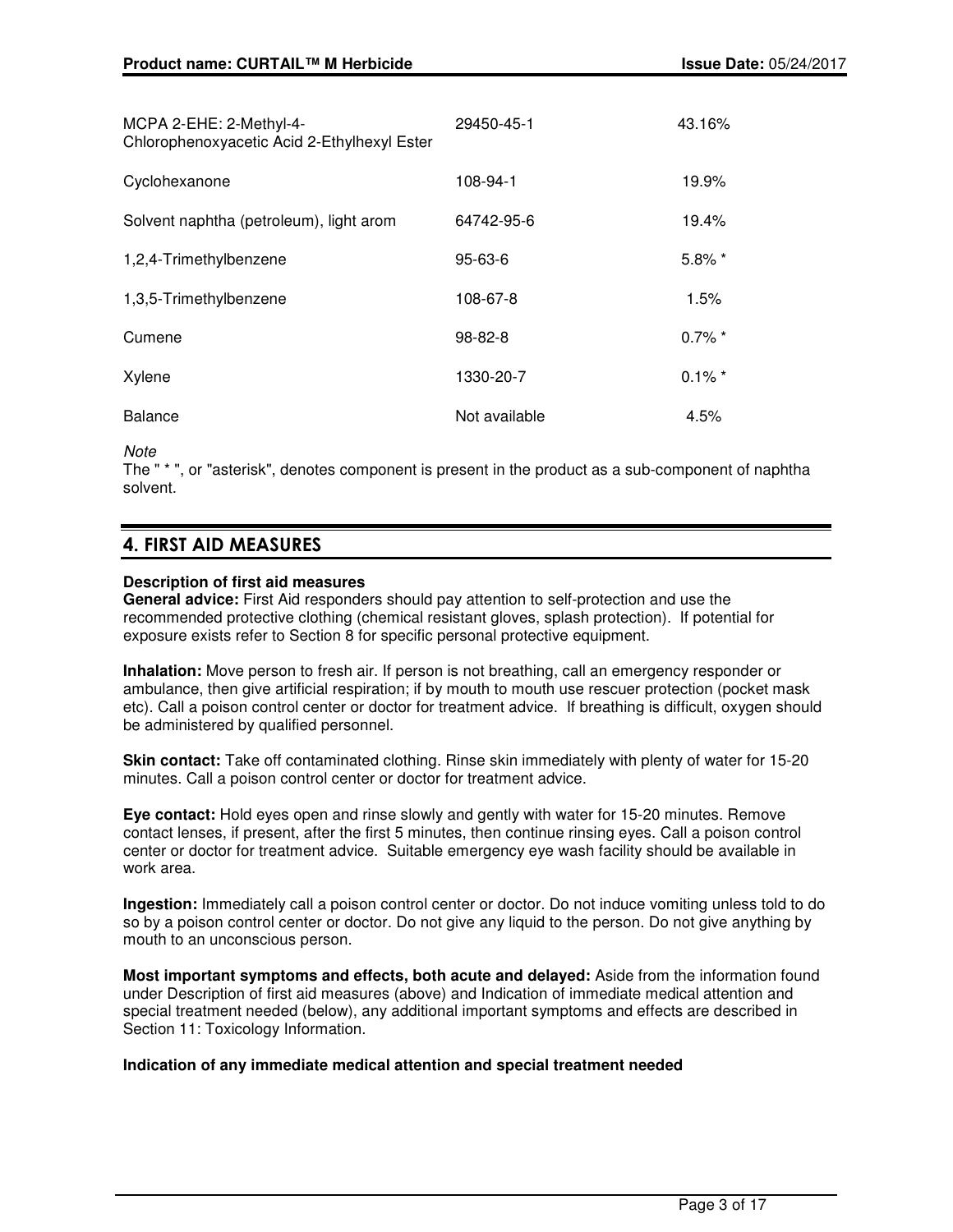| MCPA 2-EHE: 2-Methyl-4-<br>Chlorophenoxyacetic Acid 2-Ethylhexyl Ester | 29450-45-1    | 43.16%    |
|------------------------------------------------------------------------|---------------|-----------|
| Cyclohexanone                                                          | 108-94-1      | 19.9%     |
| Solvent naphtha (petroleum), light arom                                | 64742-95-6    | 19.4%     |
| 1,2,4-Trimethylbenzene                                                 | $95 - 63 - 6$ | $5.8\%$ * |
| 1,3,5-Trimethylbenzene                                                 | 108-67-8      | 1.5%      |
| Cumene                                                                 | 98-82-8       | $0.7\%$ * |
| Xylene                                                                 | 1330-20-7     | $0.1\%$ * |
| <b>Balance</b>                                                         | Not available | 4.5%      |

#### **Note**

The " \* ", or "asterisk", denotes component is present in the product as a sub-component of naphtha solvent.

# **4. FIRST AID MEASURES**

#### **Description of first aid measures**

**General advice:** First Aid responders should pay attention to self-protection and use the recommended protective clothing (chemical resistant gloves, splash protection). If potential for exposure exists refer to Section 8 for specific personal protective equipment.

**Inhalation:** Move person to fresh air. If person is not breathing, call an emergency responder or ambulance, then give artificial respiration; if by mouth to mouth use rescuer protection (pocket mask etc). Call a poison control center or doctor for treatment advice. If breathing is difficult, oxygen should be administered by qualified personnel.

**Skin contact:** Take off contaminated clothing. Rinse skin immediately with plenty of water for 15-20 minutes. Call a poison control center or doctor for treatment advice.

**Eye contact:** Hold eyes open and rinse slowly and gently with water for 15-20 minutes. Remove contact lenses, if present, after the first 5 minutes, then continue rinsing eyes. Call a poison control center or doctor for treatment advice. Suitable emergency eye wash facility should be available in work area.

**Ingestion:** Immediately call a poison control center or doctor. Do not induce vomiting unless told to do so by a poison control center or doctor. Do not give any liquid to the person. Do not give anything by mouth to an unconscious person.

**Most important symptoms and effects, both acute and delayed:** Aside from the information found under Description of first aid measures (above) and Indication of immediate medical attention and special treatment needed (below), any additional important symptoms and effects are described in Section 11: Toxicology Information.

#### **Indication of any immediate medical attention and special treatment needed**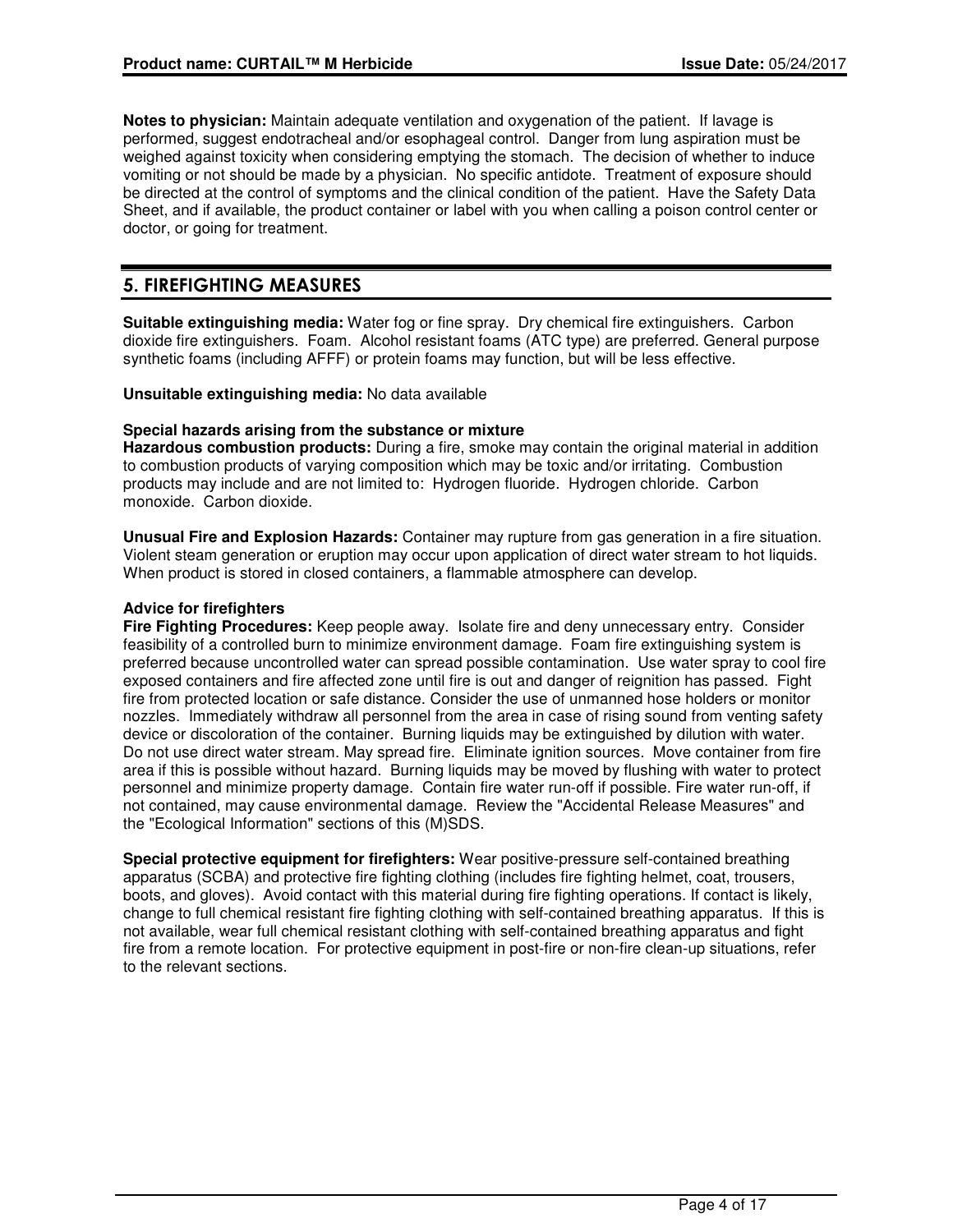**Notes to physician:** Maintain adequate ventilation and oxygenation of the patient. If lavage is performed, suggest endotracheal and/or esophageal control. Danger from lung aspiration must be weighed against toxicity when considering emptying the stomach. The decision of whether to induce vomiting or not should be made by a physician. No specific antidote. Treatment of exposure should be directed at the control of symptoms and the clinical condition of the patient. Have the Safety Data Sheet, and if available, the product container or label with you when calling a poison control center or doctor, or going for treatment.

# **5. FIREFIGHTING MEASURES**

**Suitable extinguishing media:** Water fog or fine spray. Dry chemical fire extinguishers. Carbon dioxide fire extinguishers. Foam. Alcohol resistant foams (ATC type) are preferred. General purpose synthetic foams (including AFFF) or protein foams may function, but will be less effective.

**Unsuitable extinguishing media:** No data available

# **Special hazards arising from the substance or mixture**

**Hazardous combustion products:** During a fire, smoke may contain the original material in addition to combustion products of varying composition which may be toxic and/or irritating. Combustion products may include and are not limited to: Hydrogen fluoride. Hydrogen chloride. Carbon monoxide. Carbon dioxide.

**Unusual Fire and Explosion Hazards:** Container may rupture from gas generation in a fire situation. Violent steam generation or eruption may occur upon application of direct water stream to hot liquids. When product is stored in closed containers, a flammable atmosphere can develop.

# **Advice for firefighters**

**Fire Fighting Procedures:** Keep people away. Isolate fire and deny unnecessary entry. Consider feasibility of a controlled burn to minimize environment damage. Foam fire extinguishing system is preferred because uncontrolled water can spread possible contamination. Use water spray to cool fire exposed containers and fire affected zone until fire is out and danger of reignition has passed. Fight fire from protected location or safe distance. Consider the use of unmanned hose holders or monitor nozzles. Immediately withdraw all personnel from the area in case of rising sound from venting safety device or discoloration of the container. Burning liquids may be extinguished by dilution with water. Do not use direct water stream. May spread fire. Eliminate ignition sources. Move container from fire area if this is possible without hazard. Burning liquids may be moved by flushing with water to protect personnel and minimize property damage. Contain fire water run-off if possible. Fire water run-off, if not contained, may cause environmental damage. Review the "Accidental Release Measures" and the "Ecological Information" sections of this (M)SDS.

**Special protective equipment for firefighters:** Wear positive-pressure self-contained breathing apparatus (SCBA) and protective fire fighting clothing (includes fire fighting helmet, coat, trousers, boots, and gloves). Avoid contact with this material during fire fighting operations. If contact is likely, change to full chemical resistant fire fighting clothing with self-contained breathing apparatus. If this is not available, wear full chemical resistant clothing with self-contained breathing apparatus and fight fire from a remote location. For protective equipment in post-fire or non-fire clean-up situations, refer to the relevant sections.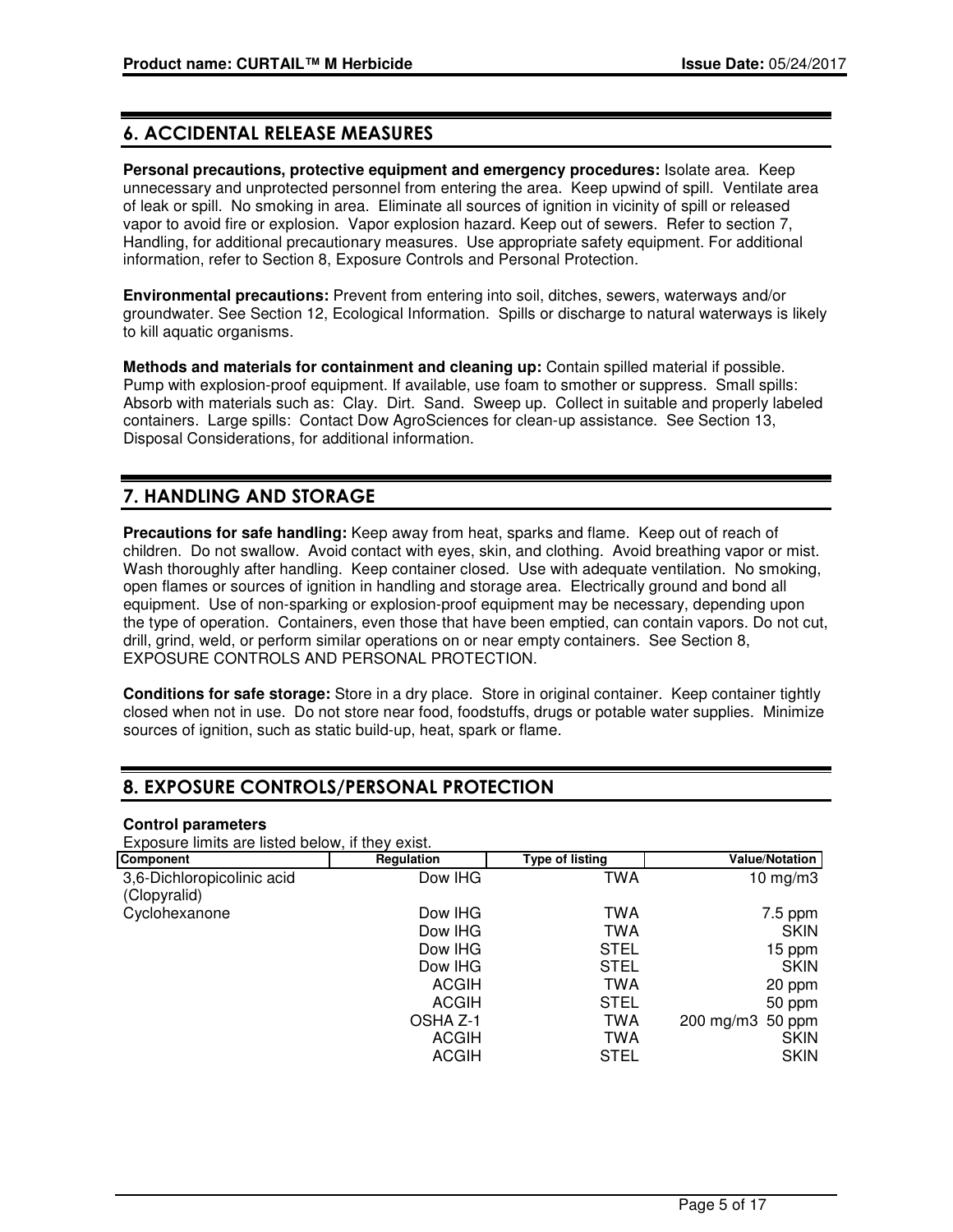# **6. ACCIDENTAL RELEASE MEASURES**

**Personal precautions, protective equipment and emergency procedures:** Isolate area. Keep unnecessary and unprotected personnel from entering the area. Keep upwind of spill. Ventilate area of leak or spill. No smoking in area. Eliminate all sources of ignition in vicinity of spill or released vapor to avoid fire or explosion. Vapor explosion hazard. Keep out of sewers. Refer to section 7, Handling, for additional precautionary measures. Use appropriate safety equipment. For additional information, refer to Section 8, Exposure Controls and Personal Protection.

**Environmental precautions:** Prevent from entering into soil, ditches, sewers, waterways and/or groundwater. See Section 12, Ecological Information. Spills or discharge to natural waterways is likely to kill aquatic organisms.

**Methods and materials for containment and cleaning up:** Contain spilled material if possible. Pump with explosion-proof equipment. If available, use foam to smother or suppress. Small spills: Absorb with materials such as: Clay. Dirt. Sand. Sweep up. Collect in suitable and properly labeled containers. Large spills: Contact Dow AgroSciences for clean-up assistance. See Section 13, Disposal Considerations, for additional information.

# **7. HANDLING AND STORAGE**

**Precautions for safe handling:** Keep away from heat, sparks and flame. Keep out of reach of children. Do not swallow. Avoid contact with eyes, skin, and clothing. Avoid breathing vapor or mist. Wash thoroughly after handling. Keep container closed. Use with adequate ventilation. No smoking, open flames or sources of ignition in handling and storage area. Electrically ground and bond all equipment. Use of non-sparking or explosion-proof equipment may be necessary, depending upon the type of operation. Containers, even those that have been emptied, can contain vapors. Do not cut, drill, grind, weld, or perform similar operations on or near empty containers. See Section 8, EXPOSURE CONTROLS AND PERSONAL PROTECTION.

**Conditions for safe storage:** Store in a dry place. Store in original container. Keep container tightly closed when not in use. Do not store near food, foodstuffs, drugs or potable water supplies. Minimize sources of ignition, such as static build-up, heat, spark or flame.

# **8. EXPOSURE CONTROLS/PERSONAL PROTECTION**

#### **Control parameters**

Exposure limits are listed below, if they exist.

| <b>Component</b>                           | Regulation                   | Type of listing           | Value/Notation        |
|--------------------------------------------|------------------------------|---------------------------|-----------------------|
| 3,6-Dichloropicolinic acid<br>(Clopyralid) | Dow IHG                      | TWA                       | 10 mg/m $3$           |
| Cyclohexanone                              | Dow IHG                      | TWA                       | $7.5$ ppm             |
|                                            | Dow IHG<br>Dow IHG           | <b>TWA</b><br><b>STEL</b> | <b>SKIN</b><br>15 ppm |
|                                            | Dow IHG                      | <b>STEL</b>               | <b>SKIN</b>           |
|                                            | <b>ACGIH</b><br><b>ACGIH</b> | <b>TWA</b><br><b>STEL</b> | 20 ppm<br>50 ppm      |
|                                            | OSHA Z-1                     | <b>TWA</b>                | 200 mg/m3 50 ppm      |
|                                            | <b>ACGIH</b>                 | <b>TWA</b>                | <b>SKIN</b>           |
|                                            | <b>ACGIH</b>                 | <b>STEL</b>               | <b>SKIN</b>           |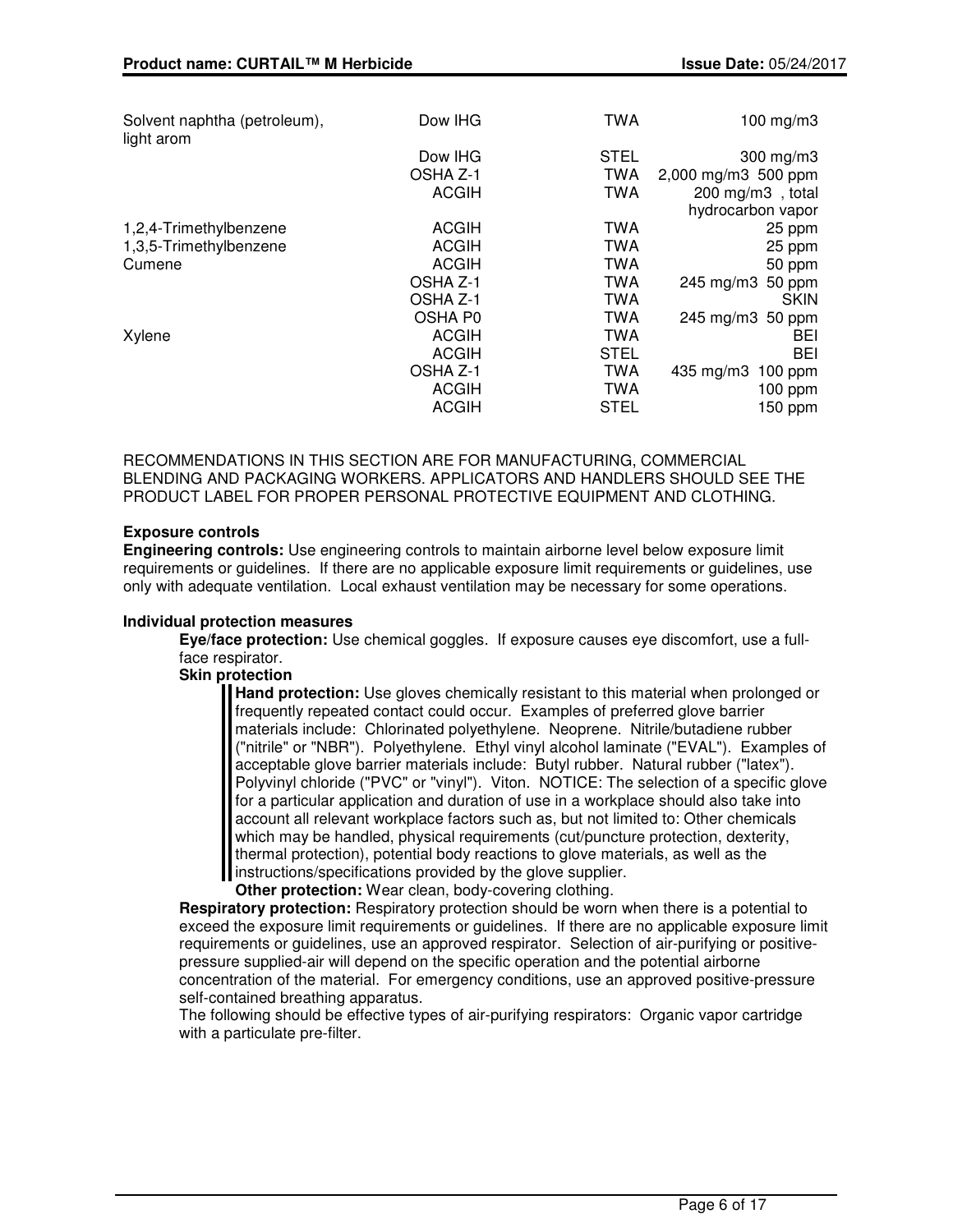| Solvent naphtha (petroleum),<br>light arom | Dow IHG      | TWA         | 100 mg/m $3$                   |
|--------------------------------------------|--------------|-------------|--------------------------------|
|                                            | Dow IHG      | <b>STEL</b> | 300 mg/m3                      |
|                                            | OSHA Z-1     | <b>TWA</b>  | 2,000 mg/m3 500 ppm            |
|                                            | <b>ACGIH</b> | <b>TWA</b>  | 200 mg/m3, total               |
|                                            |              |             | hydrocarbon vapor              |
| 1,2,4-Trimethylbenzene                     | <b>ACGIH</b> | <b>TWA</b>  | 25 ppm                         |
| 1,3,5-Trimethylbenzene                     | <b>ACGIH</b> | TWA         | 25 ppm                         |
| Cumene                                     | <b>ACGIH</b> | TWA         | 50 ppm                         |
|                                            | OSHA Z-1     | TWA         | 50 ppm<br>$245 \text{ mg/m}$ 3 |
|                                            | OSHA Z-1     | TWA         | <b>SKIN</b>                    |
|                                            | OSHA P0      | <b>TWA</b>  | 245 mg/m3 50 ppm               |
| Xylene                                     | <b>ACGIH</b> | <b>TWA</b>  | <b>BEI</b>                     |
|                                            | <b>ACGIH</b> | <b>STEL</b> | BEI                            |
|                                            | OSHA Z-1     | TWA         | 435 mg/m3<br>$100$ ppm         |
|                                            | <b>ACGIH</b> | <b>TWA</b>  | 100 ppm                        |
|                                            | <b>ACGIH</b> | <b>STEL</b> | 150 ppm                        |
|                                            |              |             |                                |

RECOMMENDATIONS IN THIS SECTION ARE FOR MANUFACTURING, COMMERCIAL BLENDING AND PACKAGING WORKERS. APPLICATORS AND HANDLERS SHOULD SEE THE PRODUCT LABEL FOR PROPER PERSONAL PROTECTIVE EQUIPMENT AND CLOTHING.

# **Exposure controls**

**Engineering controls:** Use engineering controls to maintain airborne level below exposure limit requirements or guidelines. If there are no applicable exposure limit requirements or guidelines, use only with adequate ventilation. Local exhaust ventilation may be necessary for some operations.

#### **Individual protection measures**

**Eye/face protection:** Use chemical goggles. If exposure causes eye discomfort, use a fullface respirator.

## **Skin protection**

**Hand protection:** Use gloves chemically resistant to this material when prolonged or frequently repeated contact could occur. Examples of preferred glove barrier materials include: Chlorinated polyethylene. Neoprene. Nitrile/butadiene rubber ("nitrile" or "NBR"). Polyethylene. Ethyl vinyl alcohol laminate ("EVAL"). Examples of acceptable glove barrier materials include: Butyl rubber. Natural rubber ("latex"). Polyvinyl chloride ("PVC" or "vinyl"). Viton. NOTICE: The selection of a specific glove for a particular application and duration of use in a workplace should also take into account all relevant workplace factors such as, but not limited to: Other chemicals which may be handled, physical requirements (cut/puncture protection, dexterity, thermal protection), potential body reactions to glove materials, as well as the I instructions/specifications provided by the glove supplier.

**Other protection:** Wear clean, body-covering clothing.

**Respiratory protection:** Respiratory protection should be worn when there is a potential to exceed the exposure limit requirements or guidelines. If there are no applicable exposure limit requirements or guidelines, use an approved respirator. Selection of air-purifying or positivepressure supplied-air will depend on the specific operation and the potential airborne concentration of the material. For emergency conditions, use an approved positive-pressure self-contained breathing apparatus.

The following should be effective types of air-purifying respirators: Organic vapor cartridge with a particulate pre-filter.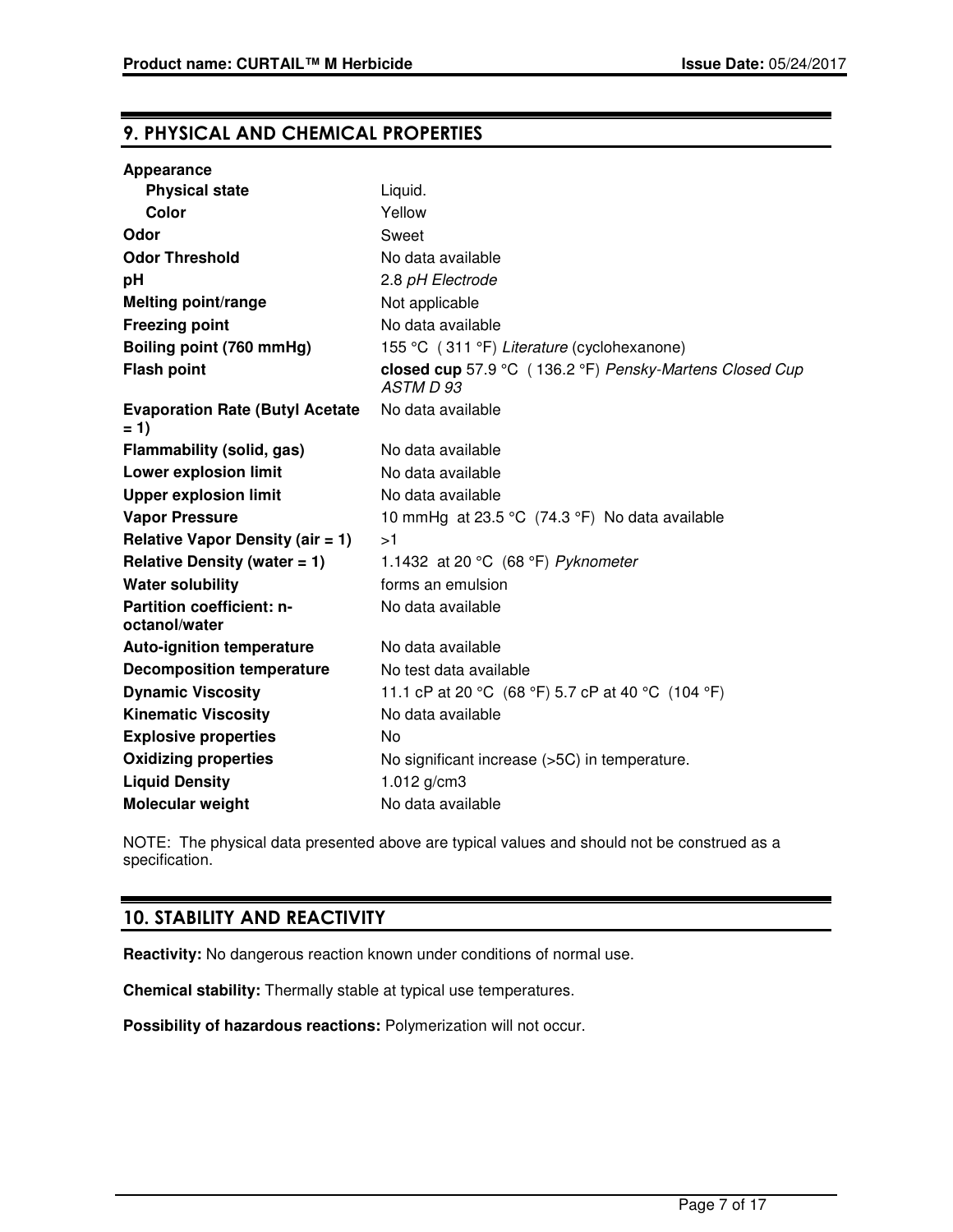# **9. PHYSICAL AND CHEMICAL PROPERTIES**

| Appearance                                      |                                                                      |
|-------------------------------------------------|----------------------------------------------------------------------|
| <b>Physical state</b>                           | Liquid.                                                              |
| Color                                           | Yellow                                                               |
| Odor                                            | Sweet                                                                |
| <b>Odor Threshold</b>                           | No data available                                                    |
| pH                                              | 2.8 pH Electrode                                                     |
| <b>Melting point/range</b>                      | Not applicable                                                       |
| <b>Freezing point</b>                           | No data available                                                    |
| Boiling point (760 mmHg)                        | 155 °C (311 °F) Literature (cyclohexanone)                           |
| <b>Flash point</b>                              | closed cup 57.9 °C (136.2 °F) Pensky-Martens Closed Cup<br>ASTM D 93 |
| <b>Evaporation Rate (Butyl Acetate</b><br>$= 1$ | No data available                                                    |
| Flammability (solid, gas)                       | No data available                                                    |
| <b>Lower explosion limit</b>                    | No data available                                                    |
| <b>Upper explosion limit</b>                    | No data available                                                    |
| <b>Vapor Pressure</b>                           | 10 mmHg at 23.5 °C (74.3 °F) No data available                       |
| Relative Vapor Density (air $= 1$ )             | >1                                                                   |
| Relative Density (water $= 1$ )                 | 1.1432 at 20 °C (68 °F) Pyknometer                                   |
| <b>Water solubility</b>                         | forms an emulsion                                                    |
| Partition coefficient: n-<br>octanol/water      | No data available                                                    |
| <b>Auto-ignition temperature</b>                | No data available                                                    |
| <b>Decomposition temperature</b>                | No test data available                                               |
| <b>Dynamic Viscosity</b>                        | 11.1 cP at 20 °C (68 °F) 5.7 cP at 40 °C (104 °F)                    |
| <b>Kinematic Viscosity</b>                      | No data available                                                    |
| <b>Explosive properties</b>                     | No                                                                   |
| <b>Oxidizing properties</b>                     | No significant increase (>5C) in temperature.                        |
| <b>Liquid Density</b>                           | 1.012 $g/cm3$                                                        |
| <b>Molecular weight</b>                         | No data available                                                    |

NOTE: The physical data presented above are typical values and should not be construed as a specification.

# **10. STABILITY AND REACTIVITY**

**Reactivity:** No dangerous reaction known under conditions of normal use.

**Chemical stability:** Thermally stable at typical use temperatures.

**Possibility of hazardous reactions:** Polymerization will not occur.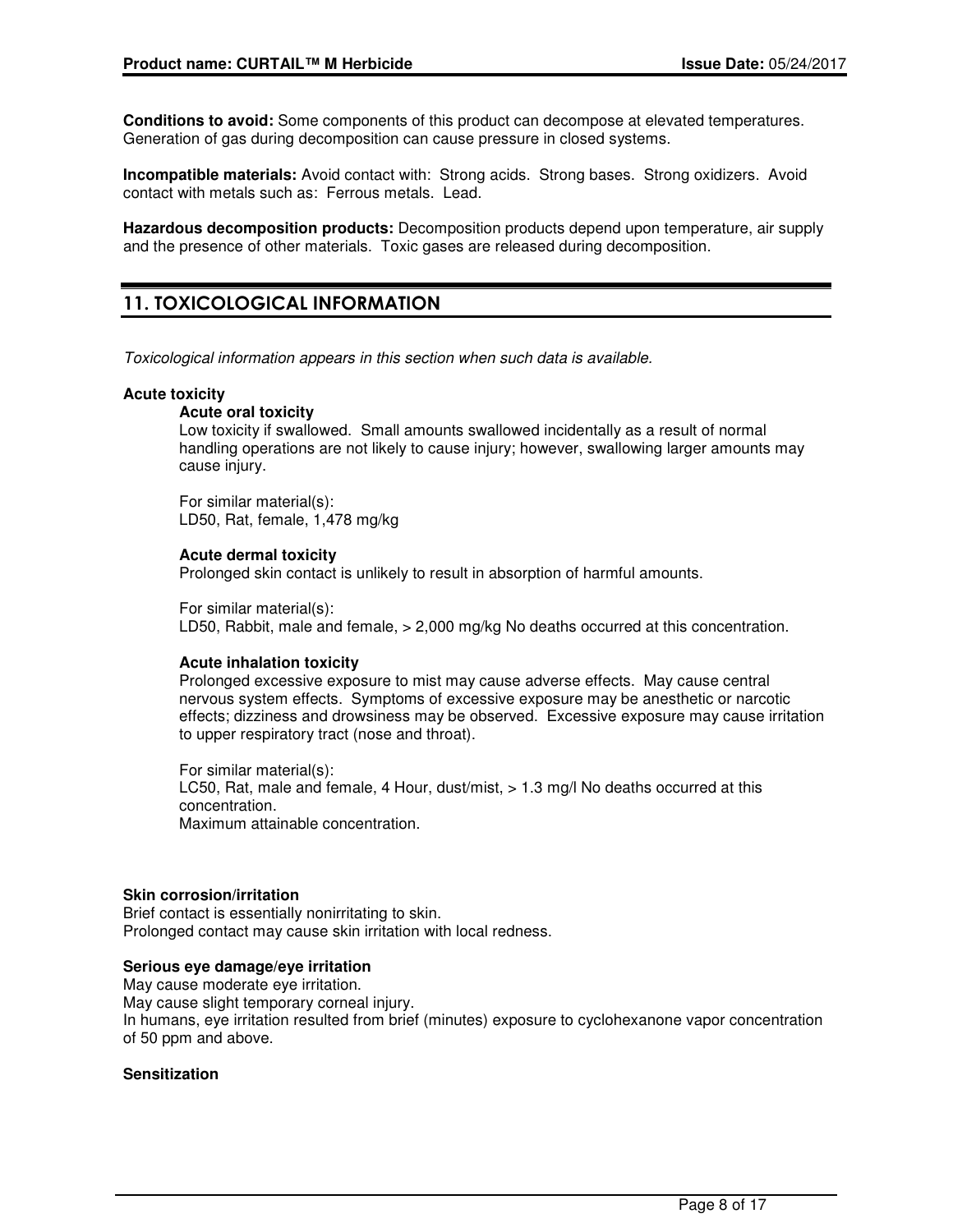**Conditions to avoid:** Some components of this product can decompose at elevated temperatures. Generation of gas during decomposition can cause pressure in closed systems.

**Incompatible materials:** Avoid contact with: Strong acids. Strong bases. Strong oxidizers. Avoid contact with metals such as: Ferrous metals. Lead.

**Hazardous decomposition products:** Decomposition products depend upon temperature, air supply and the presence of other materials. Toxic gases are released during decomposition.

# **11. TOXICOLOGICAL INFORMATION**

Toxicological information appears in this section when such data is available.

#### **Acute toxicity**

#### **Acute oral toxicity**

Low toxicity if swallowed. Small amounts swallowed incidentally as a result of normal handling operations are not likely to cause injury; however, swallowing larger amounts may cause injury.

For similar material(s): LD50, Rat, female, 1,478 mg/kg

## **Acute dermal toxicity**

Prolonged skin contact is unlikely to result in absorption of harmful amounts.

For similar material(s): LD50, Rabbit, male and female, > 2,000 mg/kg No deaths occurred at this concentration.

#### **Acute inhalation toxicity**

Prolonged excessive exposure to mist may cause adverse effects. May cause central nervous system effects. Symptoms of excessive exposure may be anesthetic or narcotic effects; dizziness and drowsiness may be observed. Excessive exposure may cause irritation to upper respiratory tract (nose and throat).

For similar material(s): LC50, Rat, male and female, 4 Hour, dust/mist, > 1.3 mg/l No deaths occurred at this concentration. Maximum attainable concentration.

#### **Skin corrosion/irritation**

Brief contact is essentially nonirritating to skin. Prolonged contact may cause skin irritation with local redness.

#### **Serious eye damage/eye irritation**

May cause moderate eye irritation. May cause slight temporary corneal injury. In humans, eye irritation resulted from brief (minutes) exposure to cyclohexanone vapor concentration of 50 ppm and above.

#### **Sensitization**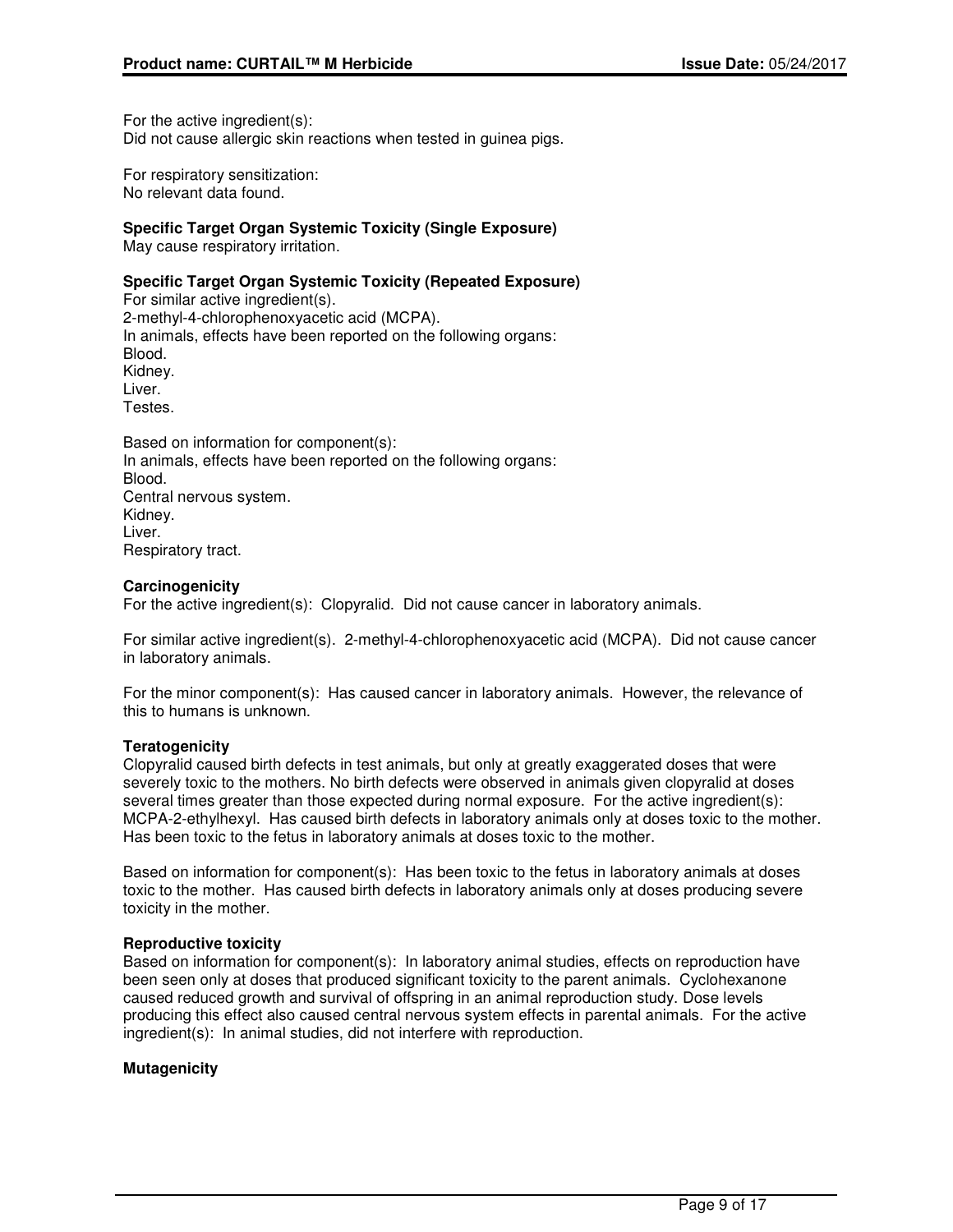For the active ingredient(s): Did not cause allergic skin reactions when tested in guinea pigs.

For respiratory sensitization: No relevant data found.

# **Specific Target Organ Systemic Toxicity (Single Exposure)**

May cause respiratory irritation.

## **Specific Target Organ Systemic Toxicity (Repeated Exposure)**

For similar active ingredient(s). 2-methyl-4-chlorophenoxyacetic acid (MCPA). In animals, effects have been reported on the following organs: Blood. Kidney. Liver. Testes.

Based on information for component(s): In animals, effects have been reported on the following organs: Blood. Central nervous system. Kidney. Liver. Respiratory tract.

## **Carcinogenicity**

For the active ingredient(s): Clopyralid. Did not cause cancer in laboratory animals.

For similar active ingredient(s). 2-methyl-4-chlorophenoxyacetic acid (MCPA). Did not cause cancer in laboratory animals.

For the minor component(s): Has caused cancer in laboratory animals. However, the relevance of this to humans is unknown.

#### **Teratogenicity**

Clopyralid caused birth defects in test animals, but only at greatly exaggerated doses that were severely toxic to the mothers. No birth defects were observed in animals given clopyralid at doses several times greater than those expected during normal exposure. For the active ingredient(s): MCPA-2-ethylhexyl. Has caused birth defects in laboratory animals only at doses toxic to the mother. Has been toxic to the fetus in laboratory animals at doses toxic to the mother.

Based on information for component(s): Has been toxic to the fetus in laboratory animals at doses toxic to the mother. Has caused birth defects in laboratory animals only at doses producing severe toxicity in the mother.

#### **Reproductive toxicity**

Based on information for component(s): In laboratory animal studies, effects on reproduction have been seen only at doses that produced significant toxicity to the parent animals. Cyclohexanone caused reduced growth and survival of offspring in an animal reproduction study. Dose levels producing this effect also caused central nervous system effects in parental animals. For the active ingredient(s): In animal studies, did not interfere with reproduction.

# **Mutagenicity**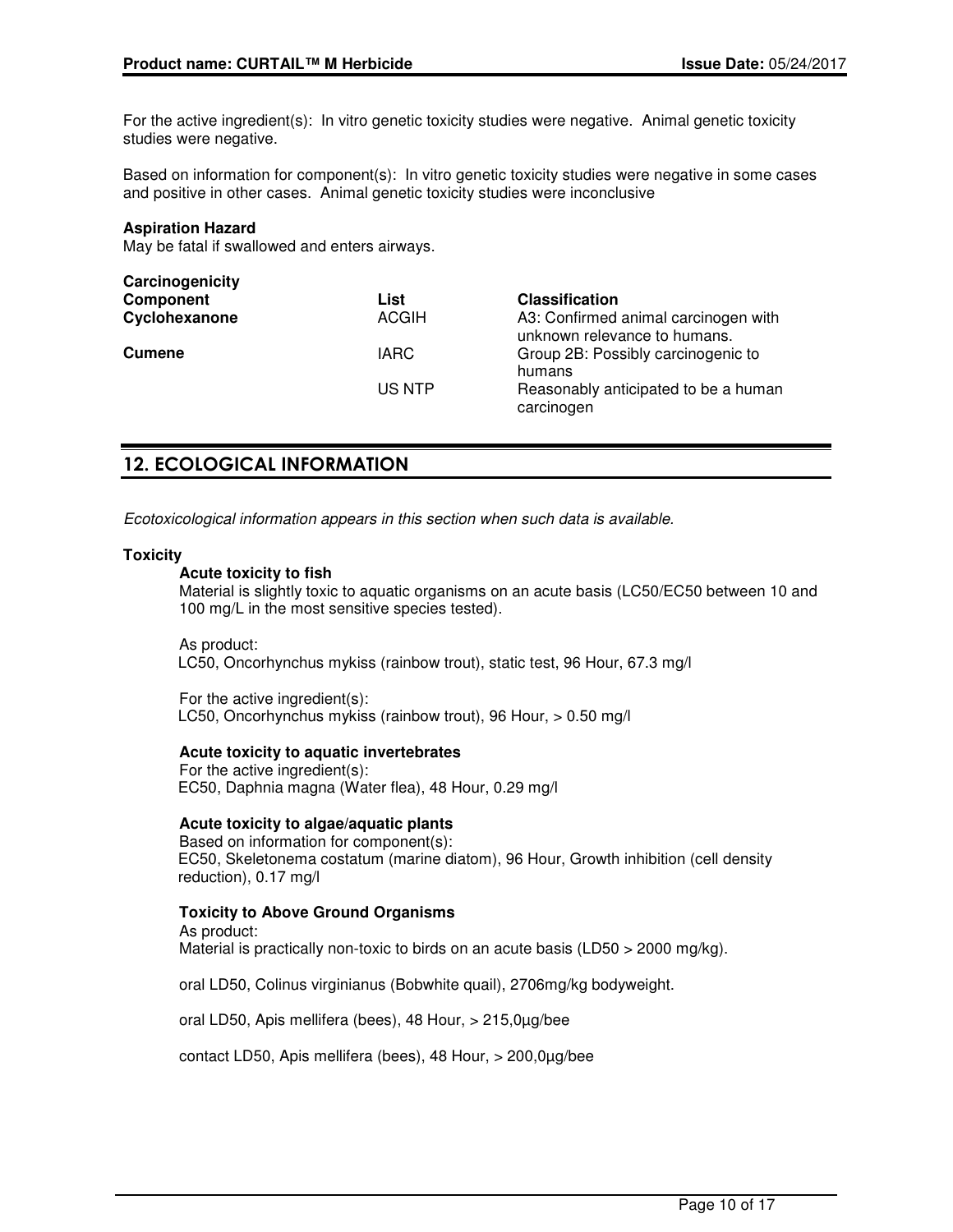For the active ingredient(s): In vitro genetic toxicity studies were negative. Animal genetic toxicity studies were negative.

Based on information for component(s): In vitro genetic toxicity studies were negative in some cases and positive in other cases. Animal genetic toxicity studies were inconclusive

#### **Aspiration Hazard**

May be fatal if swallowed and enters airways.

| Carcinogenicity |              |                                                                      |
|-----------------|--------------|----------------------------------------------------------------------|
| Component       | List         | <b>Classification</b>                                                |
| Cyclohexanone   | <b>ACGIH</b> | A3: Confirmed animal carcinogen with<br>unknown relevance to humans. |
| <b>Cumene</b>   | <b>IARC</b>  | Group 2B: Possibly carcinogenic to<br>humans                         |
|                 | US NTP       | Reasonably anticipated to be a human<br>carcinogen                   |

# **12. ECOLOGICAL INFORMATION**

Ecotoxicological information appears in this section when such data is available.

#### **Toxicity**

## **Acute toxicity to fish**

Material is slightly toxic to aquatic organisms on an acute basis (LC50/EC50 between 10 and 100 mg/L in the most sensitive species tested).

As product: LC50, Oncorhynchus mykiss (rainbow trout), static test, 96 Hour, 67.3 mg/l

For the active ingredient(s): LC50, Oncorhynchus mykiss (rainbow trout), 96 Hour, > 0.50 mg/l

#### **Acute toxicity to aquatic invertebrates**

For the active ingredient(s): EC50, Daphnia magna (Water flea), 48 Hour, 0.29 mg/l

#### **Acute toxicity to algae/aquatic plants**

Based on information for component(s): EC50, Skeletonema costatum (marine diatom), 96 Hour, Growth inhibition (cell density reduction), 0.17 mg/l

#### **Toxicity to Above Ground Organisms**

As product: Material is practically non-toxic to birds on an acute basis (LD50 > 2000 mg/kg).

oral LD50, Colinus virginianus (Bobwhite quail), 2706mg/kg bodyweight.

oral LD50, Apis mellifera (bees), 48 Hour, > 215,0µg/bee

contact LD50, Apis mellifera (bees), 48 Hour, > 200,0µg/bee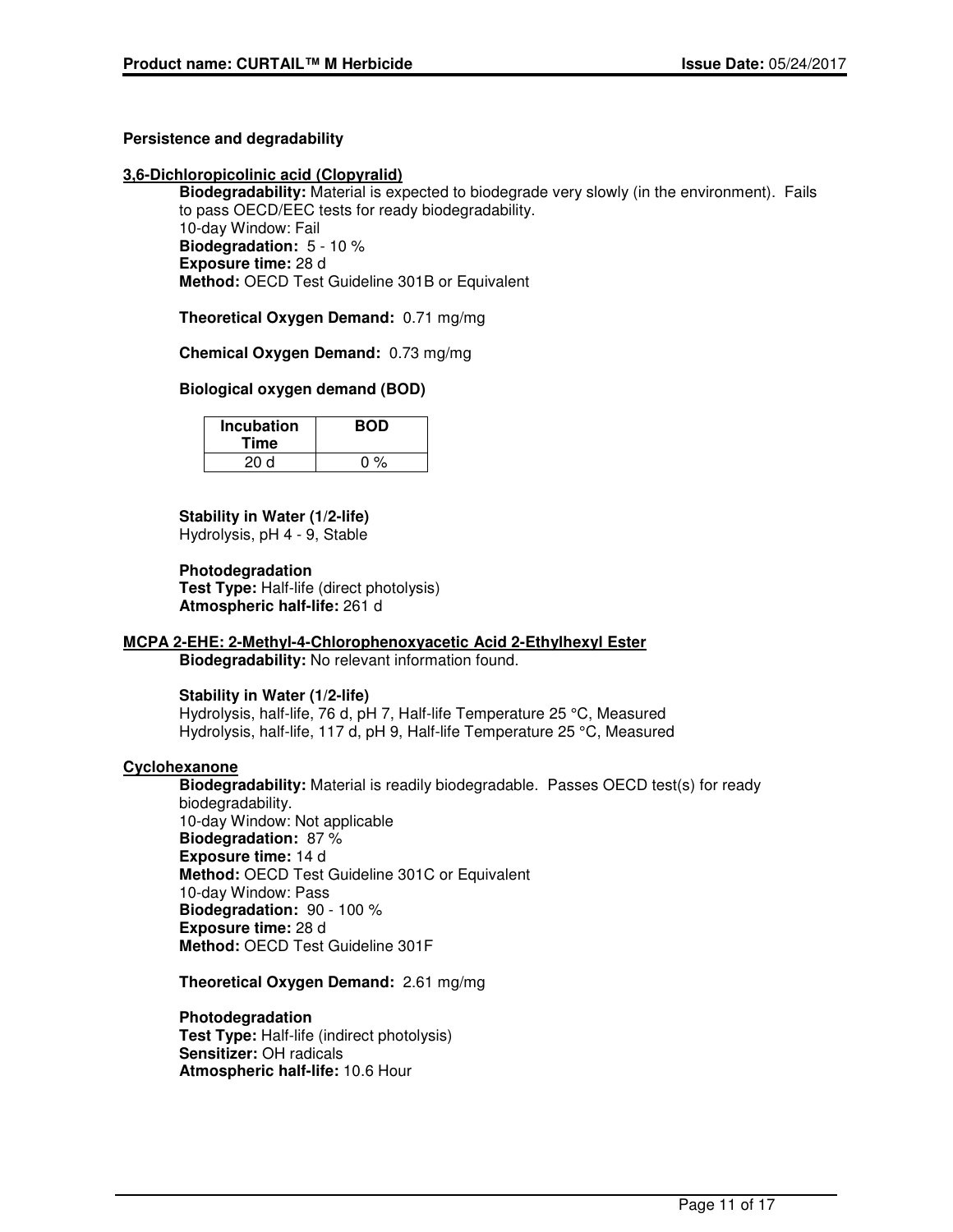# **Persistence and degradability**

## **3,6-Dichloropicolinic acid (Clopyralid)**

**Biodegradability:** Material is expected to biodegrade very slowly (in the environment). Fails to pass OECD/EEC tests for ready biodegradability. 10-day Window: Fail **Biodegradation:** 5 - 10 % **Exposure time:** 28 d **Method:** OECD Test Guideline 301B or Equivalent

**Theoretical Oxygen Demand:** 0.71 mg/mg

**Chemical Oxygen Demand:** 0.73 mg/mg

## **Biological oxygen demand (BOD)**

| <b>Incubation</b><br>Time | <b>BOD</b> |
|---------------------------|------------|
| 20d                       | $0\%$      |

**Stability in Water (1/2-life)** Hydrolysis, pH 4 - 9, Stable

**Photodegradation Test Type:** Half-life (direct photolysis) **Atmospheric half-life:** 261 d

# **MCPA 2-EHE: 2-Methyl-4-Chlorophenoxyacetic Acid 2-Ethylhexyl Ester**

**Biodegradability:** No relevant information found.

#### **Stability in Water (1/2-life)**

Hydrolysis, half-life, 76 d, pH 7, Half-life Temperature 25 °C, Measured Hydrolysis, half-life, 117 d, pH 9, Half-life Temperature 25 °C, Measured

#### **Cyclohexanone**

**Biodegradability:** Material is readily biodegradable. Passes OECD test(s) for ready biodegradability. 10-day Window: Not applicable **Biodegradation:** 87 % **Exposure time:** 14 d **Method:** OECD Test Guideline 301C or Equivalent 10-day Window: Pass **Biodegradation:** 90 - 100 % **Exposure time:** 28 d **Method:** OECD Test Guideline 301F

**Theoretical Oxygen Demand:** 2.61 mg/mg

#### **Photodegradation**

**Test Type:** Half-life (indirect photolysis) **Sensitizer:** OH radicals **Atmospheric half-life:** 10.6 Hour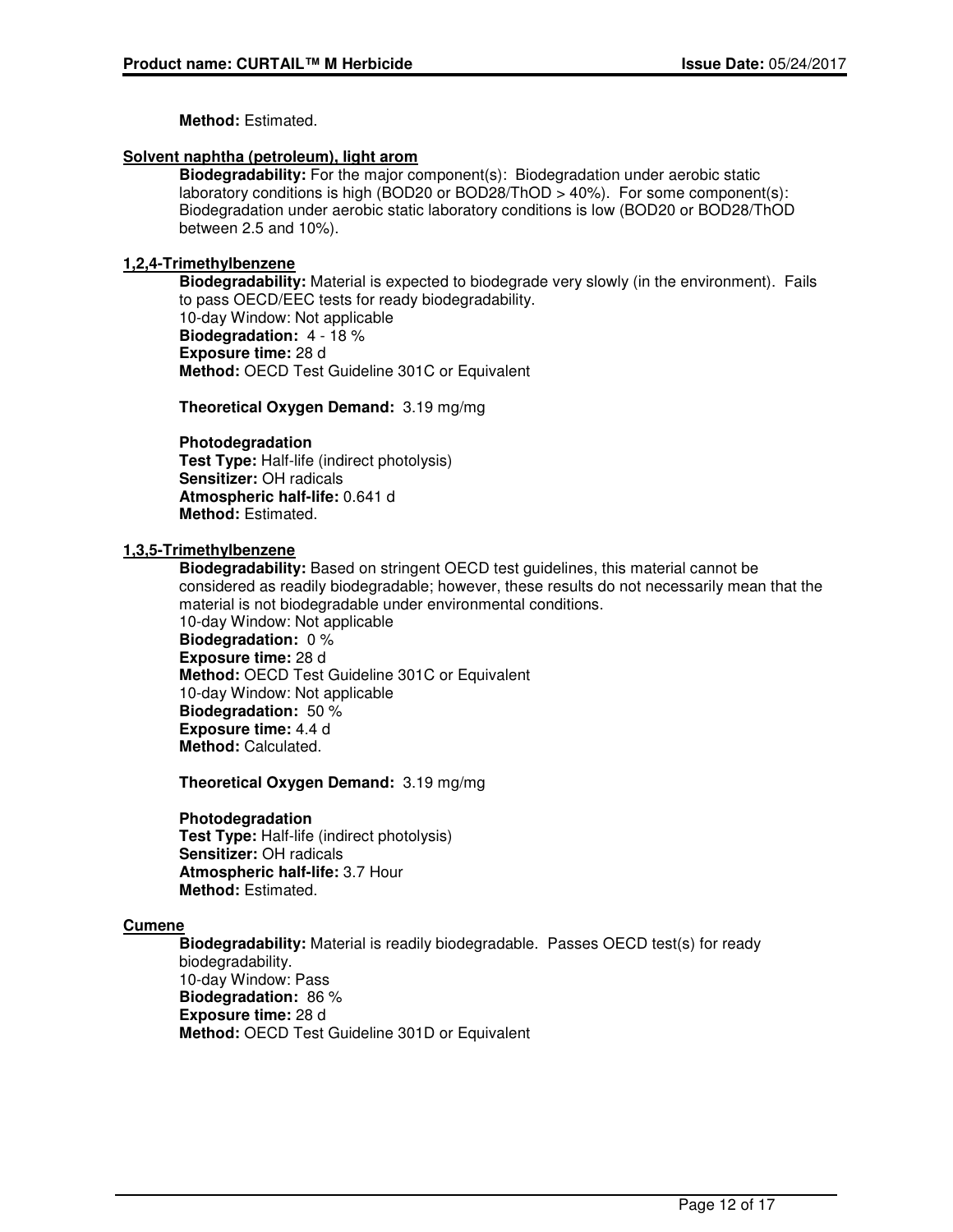**Method:** Estimated.

## **Solvent naphtha (petroleum), light arom**

**Biodegradability:** For the major component(s): Biodegradation under aerobic static laboratory conditions is high (BOD20 or BOD28/ThOD > 40%). For some component(s): Biodegradation under aerobic static laboratory conditions is low (BOD20 or BOD28/ThOD between 2.5 and 10%).

# **1,2,4-Trimethylbenzene**

**Biodegradability:** Material is expected to biodegrade very slowly (in the environment). Fails to pass OECD/EEC tests for ready biodegradability. 10-day Window: Not applicable **Biodegradation:** 4 - 18 % **Exposure time:** 28 d **Method:** OECD Test Guideline 301C or Equivalent

**Theoretical Oxygen Demand:** 3.19 mg/mg

## **Photodegradation**

**Test Type:** Half-life (indirect photolysis) **Sensitizer:** OH radicals **Atmospheric half-life:** 0.641 d **Method:** Estimated.

## **1,3,5-Trimethylbenzene**

**Biodegradability:** Based on stringent OECD test guidelines, this material cannot be considered as readily biodegradable; however, these results do not necessarily mean that the material is not biodegradable under environmental conditions.

10-day Window: Not applicable **Biodegradation:** 0 % **Exposure time:** 28 d **Method:** OECD Test Guideline 301C or Equivalent 10-day Window: Not applicable **Biodegradation:** 50 % **Exposure time:** 4.4 d **Method:** Calculated.

**Theoretical Oxygen Demand:** 3.19 mg/mg

# **Photodegradation**

**Test Type:** Half-life (indirect photolysis) **Sensitizer:** OH radicals **Atmospheric half-life:** 3.7 Hour **Method:** Estimated.

# **Cumene**

**Biodegradability:** Material is readily biodegradable. Passes OECD test(s) for ready biodegradability. 10-day Window: Pass **Biodegradation:** 86 % **Exposure time:** 28 d **Method:** OECD Test Guideline 301D or Equivalent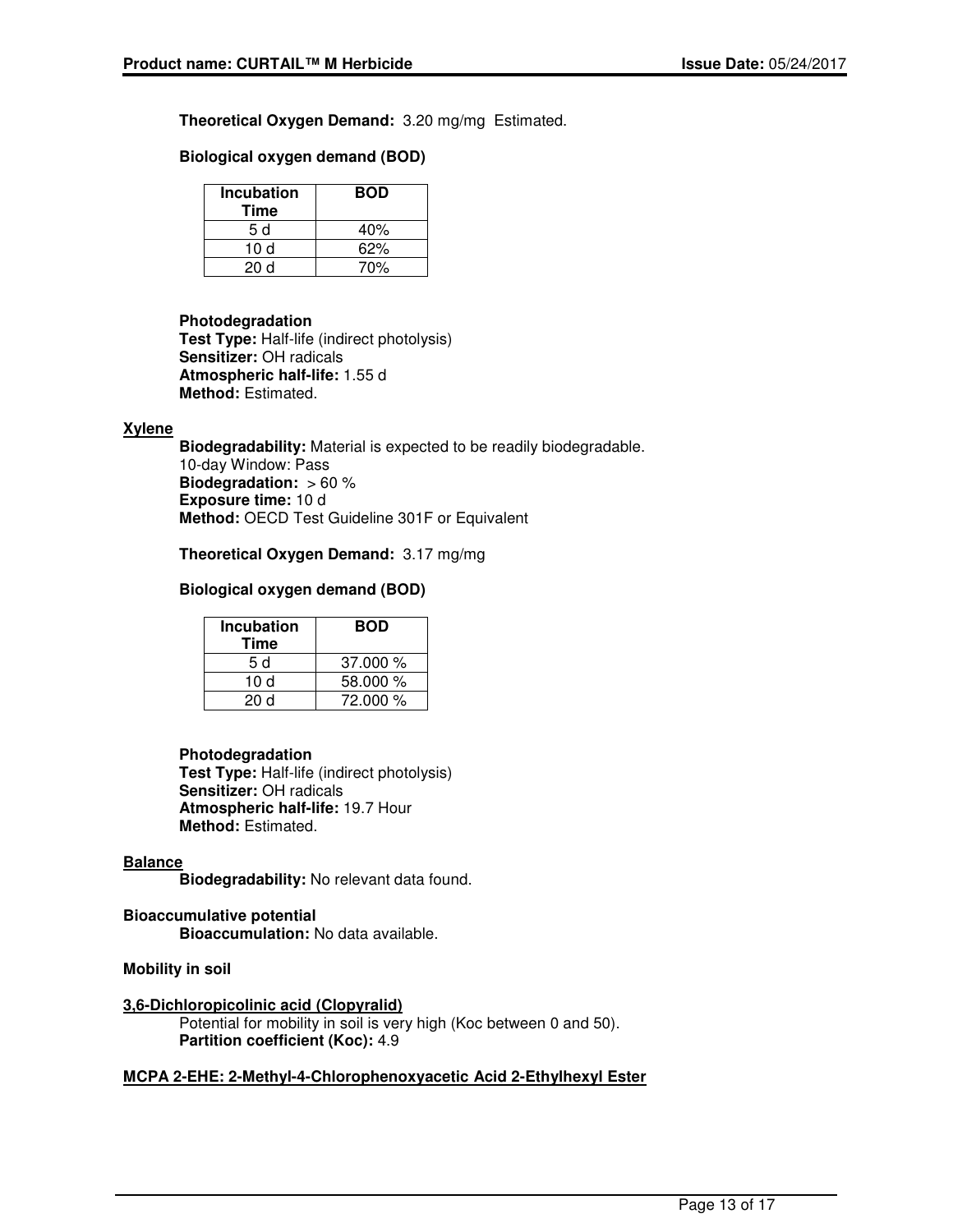**Theoretical Oxygen Demand:** 3.20 mg/mg Estimated.

## **Biological oxygen demand (BOD)**

| Incubation<br>Time | <b>BOD</b> |
|--------------------|------------|
| 5 d                | 40%        |
| 10 d               | 62%        |
| 20 d               | 70%        |

#### **Photodegradation**

**Test Type:** Half-life (indirect photolysis) **Sensitizer:** OH radicals **Atmospheric half-life:** 1.55 d **Method:** Estimated.

#### **Xylene**

**Biodegradability:** Material is expected to be readily biodegradable. 10-day Window: Pass **Biodegradation:** > 60 % **Exposure time:** 10 d **Method:** OECD Test Guideline 301F or Equivalent

## **Theoretical Oxygen Demand:** 3.17 mg/mg

# **Biological oxygen demand (BOD)**

| <b>Incubation</b><br>Time | <b>BOD</b> |
|---------------------------|------------|
| 5 d                       | 37.000%    |
| 10 d                      | 58.000 %   |
| 20 d                      | 72.000 %   |

#### **Photodegradation**

**Test Type:** Half-life (indirect photolysis) **Sensitizer:** OH radicals **Atmospheric half-life:** 19.7 Hour **Method:** Estimated.

#### **Balance**

**Biodegradability:** No relevant data found.

# **Bioaccumulative potential**

**Bioaccumulation:** No data available.

## **Mobility in soil**

**3,6-Dichloropicolinic acid (Clopyralid)**

Potential for mobility in soil is very high (Koc between 0 and 50). **Partition coefficient (Koc):** 4.9

#### **MCPA 2-EHE: 2-Methyl-4-Chlorophenoxyacetic Acid 2-Ethylhexyl Ester**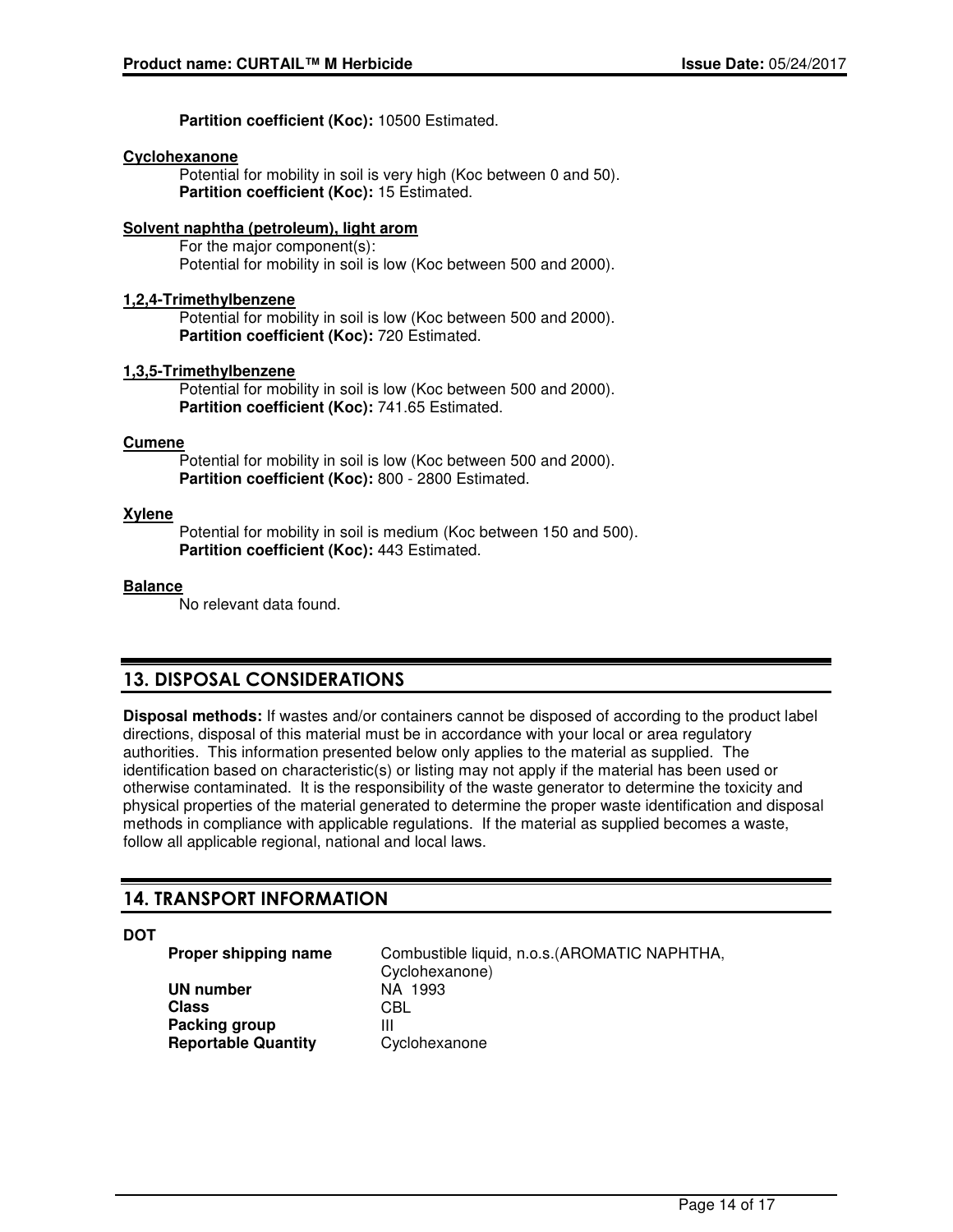**Partition coefficient (Koc):** 10500 Estimated.

## **Cyclohexanone**

Potential for mobility in soil is very high (Koc between 0 and 50). **Partition coefficient (Koc):** 15 Estimated.

# **Solvent naphtha (petroleum), light arom**

For the major component(s): Potential for mobility in soil is low (Koc between 500 and 2000).

## **1,2,4-Trimethylbenzene**

Potential for mobility in soil is low (Koc between 500 and 2000). **Partition coefficient (Koc):** 720 Estimated.

## **1,3,5-Trimethylbenzene**

Potential for mobility in soil is low (Koc between 500 and 2000). **Partition coefficient (Koc):** 741.65 Estimated.

## **Cumene**

Potential for mobility in soil is low (Koc between 500 and 2000). **Partition coefficient (Koc):** 800 - 2800 Estimated.

## **Xylene**

Potential for mobility in soil is medium (Koc between 150 and 500). **Partition coefficient (Koc):** 443 Estimated.

## **Balance**

No relevant data found.

# **13. DISPOSAL CONSIDERATIONS**

**Disposal methods:** If wastes and/or containers cannot be disposed of according to the product label directions, disposal of this material must be in accordance with your local or area regulatory authorities. This information presented below only applies to the material as supplied. The identification based on characteristic(s) or listing may not apply if the material has been used or otherwise contaminated. It is the responsibility of the waste generator to determine the toxicity and physical properties of the material generated to determine the proper waste identification and disposal methods in compliance with applicable regulations. If the material as supplied becomes a waste, follow all applicable regional, national and local laws.

# **14. TRANSPORT INFORMATION**

**DOT**

**UN number** NA 1993 **Class** CBL **Packing group** III **Reportable Quantity** Cyclohexanone

**Proper shipping name** Combustible liquid, n.o.s.(AROMATIC NAPHTHA, Cyclohexanone)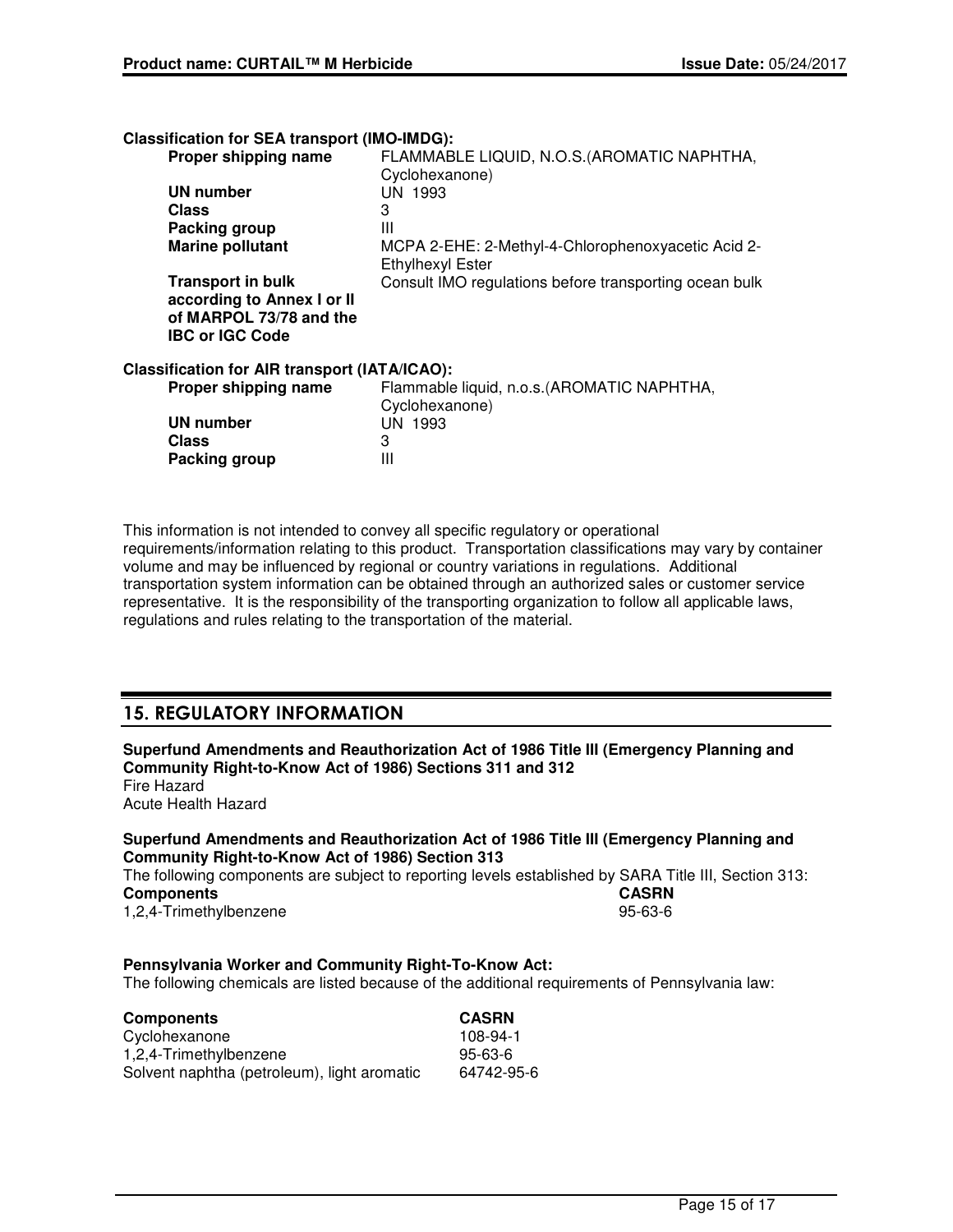**Classification for SEA transport (IMO-IMDG):**

| Proper shipping name                          | FLAMMABLE LIQUID, N.O.S. (AROMATIC NAPHTHA,                                   |
|-----------------------------------------------|-------------------------------------------------------------------------------|
|                                               | Cyclohexanone)                                                                |
| <b>UN number</b>                              | UN 1993                                                                       |
| Class                                         | 3                                                                             |
| Packing group                                 | Ш                                                                             |
| <b>Marine pollutant</b>                       | MCPA 2-EHE: 2-Methyl-4-Chlorophenoxyacetic Acid 2-<br><b>Ethylhexyl Ester</b> |
| <b>Transport in bulk</b>                      | Consult IMO regulations before transporting ocean bulk                        |
| according to Annex I or II                    |                                                                               |
| of MARPOL 73/78 and the                       |                                                                               |
| <b>IBC or IGC Code</b>                        |                                                                               |
| Classification for AIR transport (IATA/ICAO): |                                                                               |
| Proper shipping name                          | Flammable liquid, n.o.s. (AROMATIC NAPHTHA,<br>Cyclohexanone)                 |
| <b>UN number</b>                              | <b>UN 1993</b>                                                                |
| <b>Class</b>                                  | 3                                                                             |
| Packing group                                 | Ш                                                                             |
|                                               |                                                                               |

This information is not intended to convey all specific regulatory or operational requirements/information relating to this product. Transportation classifications may vary by container volume and may be influenced by regional or country variations in regulations. Additional transportation system information can be obtained through an authorized sales or customer service representative. It is the responsibility of the transporting organization to follow all applicable laws, regulations and rules relating to the transportation of the material.

# **15. REGULATORY INFORMATION**

**Superfund Amendments and Reauthorization Act of 1986 Title III (Emergency Planning and Community Right-to-Know Act of 1986) Sections 311 and 312** Fire Hazard Acute Health Hazard

# **Superfund Amendments and Reauthorization Act of 1986 Title III (Emergency Planning and Community Right-to-Know Act of 1986) Section 313**

The following components are subject to reporting levels established by SARA Title III, Section 313:<br>Components<br>CASRN **Components** 1,2,4-Trimethylbenzene 95-63-6

# **Pennsylvania Worker and Community Right-To-Know Act:**

The following chemicals are listed because of the additional requirements of Pennsylvania law:

| <b>Components</b>                           | <b>CASRN</b> |
|---------------------------------------------|--------------|
| Cyclohexanone                               | 108-94-1     |
| 1,2,4-Trimethylbenzene                      | 95-63-6      |
| Solvent naphtha (petroleum), light aromatic | 64742-95-6   |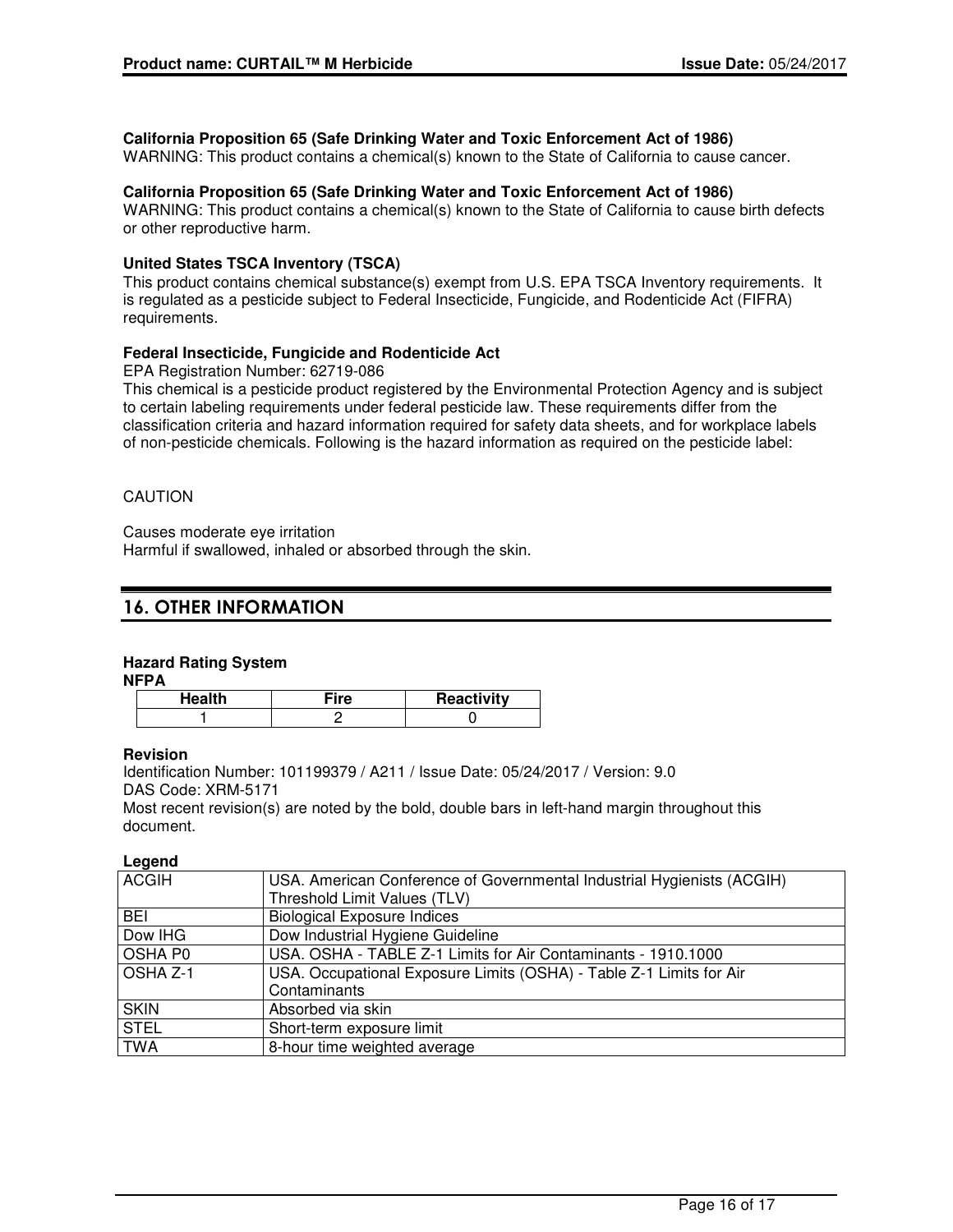# **California Proposition 65 (Safe Drinking Water and Toxic Enforcement Act of 1986)**

WARNING: This product contains a chemical(s) known to the State of California to cause cancer.

## **California Proposition 65 (Safe Drinking Water and Toxic Enforcement Act of 1986)**

WARNING: This product contains a chemical(s) known to the State of California to cause birth defects or other reproductive harm.

## **United States TSCA Inventory (TSCA)**

This product contains chemical substance(s) exempt from U.S. EPA TSCA Inventory requirements. It is regulated as a pesticide subject to Federal Insecticide, Fungicide, and Rodenticide Act (FIFRA) requirements.

## **Federal Insecticide, Fungicide and Rodenticide Act**

EPA Registration Number: 62719-086

This chemical is a pesticide product registered by the Environmental Protection Agency and is subject to certain labeling requirements under federal pesticide law. These requirements differ from the classification criteria and hazard information required for safety data sheets, and for workplace labels of non-pesticide chemicals. Following is the hazard information as required on the pesticide label:

# CAUTION

Causes moderate eye irritation

Harmful if swallowed, inhaled or absorbed through the skin.

# **16. OTHER INFORMATION**

# **Hazard Rating System**

**NFPA**

| ire: | Reactivity |
|------|------------|
|      |            |

#### **Revision**

Identification Number: 101199379 / A211 / Issue Date: 05/24/2017 / Version: 9.0 DAS Code: XRM-5171

Most recent revision(s) are noted by the bold, double bars in left-hand margin throughout this document.

#### **Legend**

| <b>ACGIH</b>    | USA. American Conference of Governmental Industrial Hygienists (ACGIH)<br>Threshold Limit Values (TLV) |
|-----------------|--------------------------------------------------------------------------------------------------------|
| <b>BEI</b>      | <b>Biological Exposure Indices</b>                                                                     |
| Dow IHG         | Dow Industrial Hygiene Guideline                                                                       |
| <b>OSHA PO</b>  | USA. OSHA - TABLE Z-1 Limits for Air Contaminants - 1910.1000                                          |
| <b>OSHA Z-1</b> | USA. Occupational Exposure Limits (OSHA) - Table Z-1 Limits for Air                                    |
|                 | Contaminants                                                                                           |
| <b>SKIN</b>     | Absorbed via skin                                                                                      |
| <b>STEL</b>     | Short-term exposure limit                                                                              |
| <b>TWA</b>      | 8-hour time weighted average                                                                           |